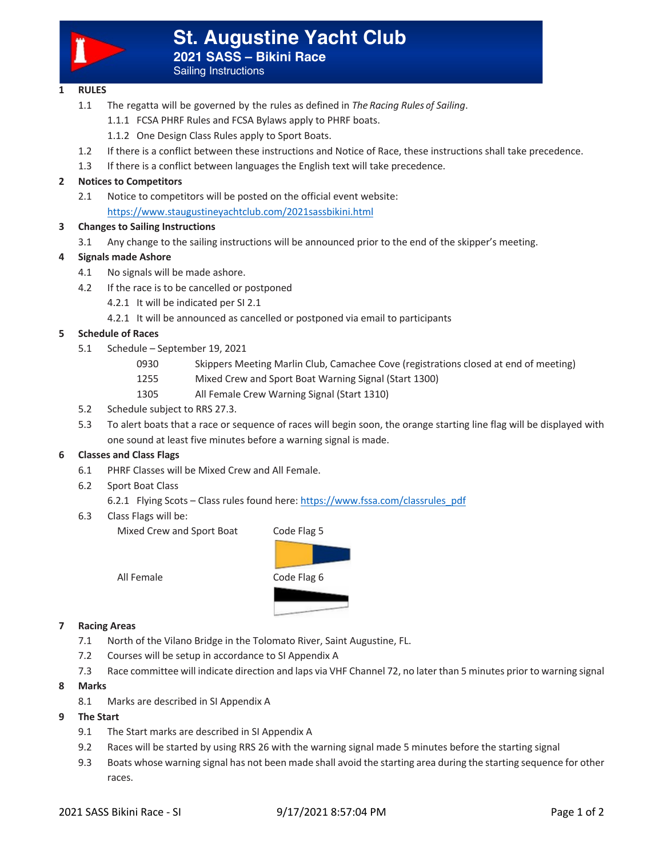

Sailing Instructions

# **1 RULES**

- 1.1 The regatta will be governed by the rules as defined in *The Racing Rules of Sailing*.
	- 1.1.1 FCSA PHRF Rules and FCSA Bylaws apply to PHRF boats.
	- 1.1.2 One Design Class Rules apply to Sport Boats.
- 1.2 If there is a conflict between these instructions and Notice of Race, these instructions shall take precedence.
- 1.3 If there is a conflict between languages the English text will take precedence.

# **2 Notices to Competitors**

2.1 Notice to competitors will be posted on the official event website: https://www.staugustineyachtclub.com/2021sassbikini.html

## **3 Changes to Sailing Instructions**

3.1 Any change to the sailing instructions will be announced prior to the end of the skipper's meeting.

## **4 Signals made Ashore**

- 4.1 No signals will be made ashore.
- 4.2 If the race is to be cancelled or postponed
	- 4.2.1 It will be indicated per SI 2.1
	- 4.2.1 It will be announced as cancelled or postponed via email to participants

#### **5 Schedule of Races**

- 5.1 Schedule September 19, 2021
	- 0930 Skippers Meeting Marlin Club, Camachee Cove (registrations closed at end of meeting)
	- 1255 Mixed Crew and Sport Boat Warning Signal (Start 1300)
	- 1305 All Female Crew Warning Signal (Start 1310)
- 5.2 Schedule subject to RRS 27.3.
- 5.3 To alert boats that a race or sequence of races will begin soon, the orange starting line flag will be displayed with one sound at least five minutes before a warning signal is made.

## **6 Classes and Class Flags**

- 6.1 PHRF Classes will be Mixed Crew and All Female.
- 6.2 Sport Boat Class
	- 6.2.1 Flying Scots Class rules found here: https://www.fssa.com/classrules\_pdf
- 6.3Class Flags will be:

Mixed Crew and Sport Boat Code Flag 5

All Female Code Flag 6

#### **7 Racing Areas**

- 7.1 North of the Vilano Bridge in the Tolomato River, Saint Augustine, FL.
- 7.2 Courses will be setup in accordance to SI Appendix A
- 7.3 Race committee will indicate direction and laps via VHF Channel 72, no later than 5 minutes prior to warning signal
- **8 Marks**
	- 8.1 Marks are described in SI Appendix A
- **9 The Start**
	- 9.1 The Start marks are described in SI Appendix A
	- 9.2 Races will be started by using RRS 26 with the warning signal made 5 minutes before the starting signal
	- 9.3 Boats whose warning signal has not been made shall avoid the starting area during the starting sequence for other races.